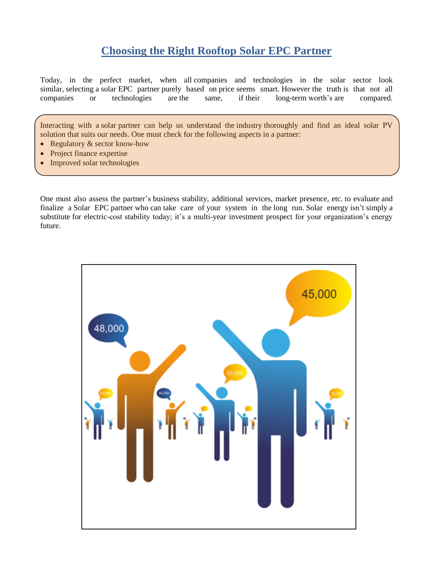## **Choosing the Right Rooftop Solar EPC Partner**

Today, in the perfect market, when all companies and technologies in the solar sector look similar, selecting a solar EPC partner purely based on price seems smart. However the truth is that not all companies or technologies are the same, if their long-term worth's are compared.

Interacting with a solar partner can help us understand the industry thoroughly and find an ideal solar PV solution that suits our needs. One must check for the following aspects in a partner:

- Regulatory & sector know-how
- Project finance expertise
- Improved solar technologies

One must also assess the partner's business stability, additional services, market presence, etc. to evaluate and finalize a Solar EPC partner who can take care of your system in the long run. Solar energy isn't simply a substitute for electric-cost stability today; it's a multi-year investment prospect for your organization's energy future.

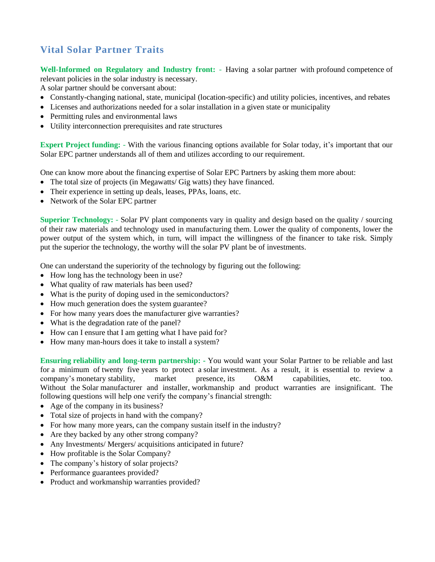## **Vital Solar Partner Traits**

**Well-Informed on Regulatory and Industry front: -** Having a solar partner with profound competence of relevant policies in the solar industry is necessary.

A solar partner should be conversant about:

- Constantly-changing national, state, municipal (location-specific) and utility policies, incentives, and rebates
- Licenses and authorizations needed for a solar installation in a given state or municipality
- Permitting rules and environmental laws
- Utility interconnection prerequisites and rate structures

**Expert Project funding: -** With the various financing options available for Solar today, it's important that our Solar EPC partner understands all of them and utilizes according to our requirement.

One can know more about the financing expertise of Solar EPC Partners by asking them more about:

- The total size of projects (in Megawatts/ Gig watts) they have financed.
- Their experience in setting up deals, leases, PPAs, loans, etc.
- Network of the Solar EPC partner

**Superior Technology: -** Solar PV plant components vary in quality and design based on the quality / sourcing of their raw materials and technology used in manufacturing them. Lower the quality of components, lower the power output of the system which, in turn, will impact the willingness of the financer to take risk. Simply put the superior the technology, the worthy will the solar PV plant be of investments.

One can understand the superiority of the technology by figuring out the following:

- How long has the technology been in use?
- What quality of raw materials has been used?
- What is the purity of doping used in the semiconductors?
- How much generation does the system guarantee?
- For how many years does the manufacturer give warranties?
- What is the degradation rate of the panel?
- How can I ensure that I am getting what I have paid for?
- How many man-hours does it take to install a system?

**Ensuring reliability and long-term partnership: -** You would want your Solar Partner to be reliable and last for a minimum of twenty five years to protect a solar investment. As a result, it is essential to review a company's monetary stability, market presence, its O&M capabilities, etc. too. Without the Solar manufacturer and installer, workmanship and product warranties are insignificant. The following questions will help one verify the company's financial strength:

- Age of the company in its business?
- Total size of projects in hand with the company?
- For how many more years, can the company sustain itself in the industry?
- Are they backed by any other strong company?
- Any Investments/ Mergers/ acquisitions anticipated in future?
- How profitable is the Solar Company?
- The company's history of solar projects?
- Performance guarantees provided?
- Product and workmanship warranties provided?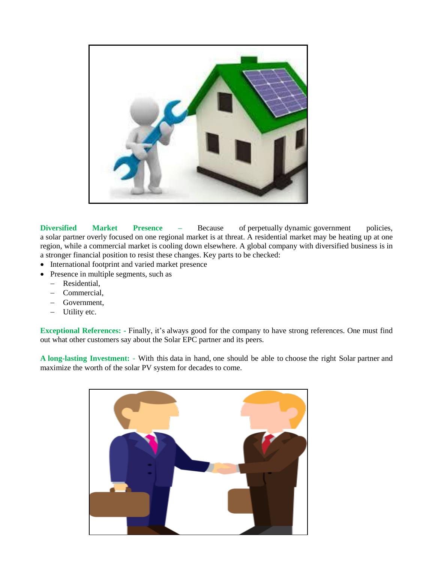

**Diversified Market Presence –** Because of perpetually dynamic government policies, a solar partner overly focused on one regional market is at threat. A residential market may be heating up at one region, while a commercial market is cooling down elsewhere. A global company with diversified business is in a stronger financial position to resist these changes. Key parts to be checked:

- International footprint and varied market presence
- Presence in multiple segments, such as
	- Residential,
	- Commercial,
	- Government,
	- Utility etc.

**Exceptional References: -** Finally, it's always good for the company to have strong references. One must find out what other customers say about the Solar EPC partner and its peers.

**A long-lasting Investment: -** With this data in hand, one should be able to choose the right Solar partner and maximize the worth of the solar PV system for decades to come.